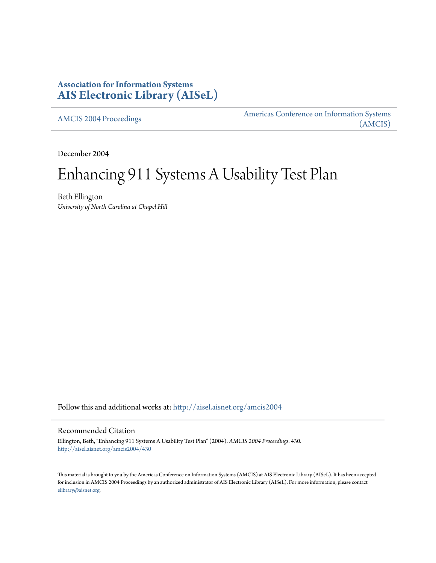### **Association for Information Systems [AIS Electronic Library \(AISeL\)](http://aisel.aisnet.org?utm_source=aisel.aisnet.org%2Famcis2004%2F430&utm_medium=PDF&utm_campaign=PDFCoverPages)**

[AMCIS 2004 Proceedings](http://aisel.aisnet.org/amcis2004?utm_source=aisel.aisnet.org%2Famcis2004%2F430&utm_medium=PDF&utm_campaign=PDFCoverPages)

[Americas Conference on Information Systems](http://aisel.aisnet.org/amcis?utm_source=aisel.aisnet.org%2Famcis2004%2F430&utm_medium=PDF&utm_campaign=PDFCoverPages) [\(AMCIS\)](http://aisel.aisnet.org/amcis?utm_source=aisel.aisnet.org%2Famcis2004%2F430&utm_medium=PDF&utm_campaign=PDFCoverPages)

December 2004

# Enhancing 911 Systems A Usability Test Plan

Beth Ellington *University of North Carolina at Chapel Hill*

Follow this and additional works at: [http://aisel.aisnet.org/amcis2004](http://aisel.aisnet.org/amcis2004?utm_source=aisel.aisnet.org%2Famcis2004%2F430&utm_medium=PDF&utm_campaign=PDFCoverPages)

#### Recommended Citation

Ellington, Beth, "Enhancing 911 Systems A Usability Test Plan" (2004). *AMCIS 2004 Proceedings*. 430. [http://aisel.aisnet.org/amcis2004/430](http://aisel.aisnet.org/amcis2004/430?utm_source=aisel.aisnet.org%2Famcis2004%2F430&utm_medium=PDF&utm_campaign=PDFCoverPages)

This material is brought to you by the Americas Conference on Information Systems (AMCIS) at AIS Electronic Library (AISeL). It has been accepted for inclusion in AMCIS 2004 Proceedings by an authorized administrator of AIS Electronic Library (AISeL). For more information, please contact [elibrary@aisnet.org.](mailto:elibrary@aisnet.org%3E)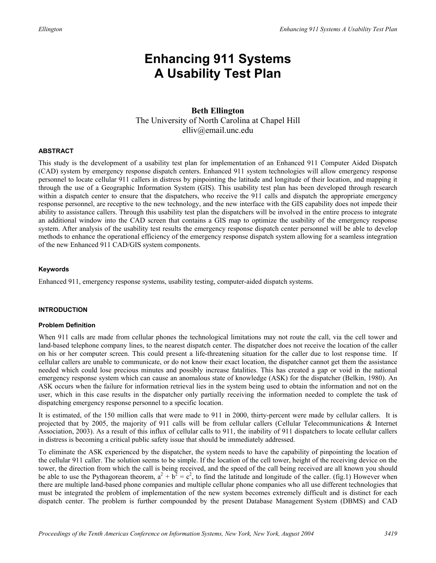## **Enhancing 911 Systems A Usability Test Plan**

#### **Beth Ellington**  The University of North Carolina at Chapel Hill elliv@email.unc.edu

#### **ABSTRACT**

This study is the development of a usability test plan for implementation of an Enhanced 911 Computer Aided Dispatch (CAD) system by emergency response dispatch centers. Enhanced 911 system technologies will allow emergency response personnel to locate cellular 911 callers in distress by pinpointing the latitude and longitude of their location, and mapping it through the use of a Geographic Information System (GIS). This usability test plan has been developed through research within a dispatch center to ensure that the dispatchers, who receive the 911 calls and dispatch the appropriate emergency response personnel, are receptive to the new technology, and the new interface with the GIS capability does not impede their ability to assistance callers. Through this usability test plan the dispatchers will be involved in the entire process to integrate an additional window into the CAD screen that contains a GIS map to optimize the usability of the emergency response system. After analysis of the usability test results the emergency response dispatch center personnel will be able to develop methods to enhance the operational efficiency of the emergency response dispatch system allowing for a seamless integration of the new Enhanced 911 CAD/GIS system components.

#### **Keywords**

Enhanced 911, emergency response systems, usability testing, computer-aided dispatch systems.

#### **INTRODUCTION**

#### **Problem Definition**

When 911 calls are made from cellular phones the technological limitations may not route the call, via the cell tower and land-based telephone company lines, to the nearest dispatch center. The dispatcher does not receive the location of the caller on his or her computer screen. This could present a life-threatening situation for the caller due to lost response time. If cellular callers are unable to communicate, or do not know their exact location, the dispatcher cannot get them the assistance needed which could lose precious minutes and possibly increase fatalities. This has created a gap or void in the national emergency response system which can cause an anomalous state of knowledge (ASK) for the dispatcher (Belkin, 1980). An ASK occurs when the failure for information retrieval lies in the system being used to obtain the information and not on the user, which in this case results in the dispatcher only partially receiving the information needed to complete the task of dispatching emergency response personnel to a specific location.

It is estimated, of the 150 million calls that were made to 911 in 2000, thirty-percent were made by cellular callers. It is projected that by 2005, the majority of 911 calls will be from cellular callers (Cellular Telecommunications & Internet Association, 2003). As a result of this influx of cellular calls to 911, the inability of 911 dispatchers to locate cellular callers in distress is becoming a critical public safety issue that should be immediately addressed.

To eliminate the ASK experienced by the dispatcher, the system needs to have the capability of pinpointing the location of the cellular 911 caller. The solution seems to be simple. If the location of the cell tower, height of the receiving device on the tower, the direction from which the call is being received, and the speed of the call being received are all known you should be able to use the Pythagorean theorem,  $a^2 + b^2 = c^2$ , to find the latitude and longitude of the caller. (fig.1) However when there are multiple land-based phone companies and multiple cellular phone companies who all use different technologies that must be integrated the problem of implementation of the new system becomes extremely difficult and is distinct for each dispatch center. The problem is further compounded by the present Database Management System (DBMS) and CAD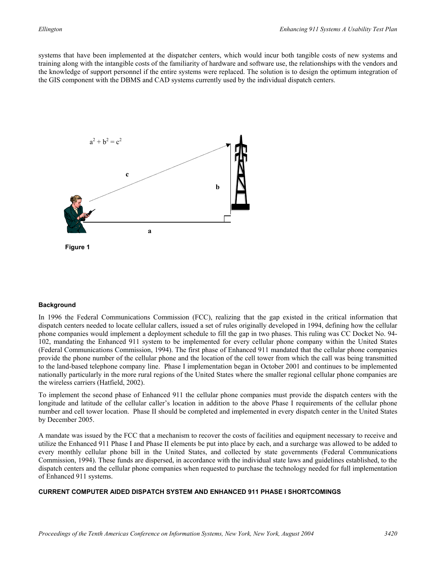systems that have been implemented at the dispatcher centers, which would incur both tangible costs of new systems and training along with the intangible costs of the familiarity of hardware and software use, the relationships with the vendors and the knowledge of support personnel if the entire systems were replaced. The solution is to design the optimum integration of the GIS component with the DBMS and CAD systems currently used by the individual dispatch centers.



#### **Background**

In 1996 the Federal Communications Commission (FCC), realizing that the gap existed in the critical information that dispatch centers needed to locate cellular callers, issued a set of rules originally developed in 1994, defining how the cellular phone companies would implement a deployment schedule to fill the gap in two phases. This ruling was CC Docket No. 94- 102, mandating the Enhanced 911 system to be implemented for every cellular phone company within the United States (Federal Communications Commission, 1994). The first phase of Enhanced 911 mandated that the cellular phone companies provide the phone number of the cellular phone and the location of the cell tower from which the call was being transmitted to the land-based telephone company line. Phase I implementation began in October 2001 and continues to be implemented nationally particularly in the more rural regions of the United States where the smaller regional cellular phone companies are the wireless carriers (Hatfield, 2002).

To implement the second phase of Enhanced 911 the cellular phone companies must provide the dispatch centers with the longitude and latitude of the cellular caller's location in addition to the above Phase I requirements of the cellular phone number and cell tower location. Phase II should be completed and implemented in every dispatch center in the United States by December 2005.

A mandate was issued by the FCC that a mechanism to recover the costs of facilities and equipment necessary to receive and utilize the Enhanced 911 Phase I and Phase II elements be put into place by each, and a surcharge was allowed to be added to every monthly cellular phone bill in the United States, and collected by state governments (Federal Communications Commission, 1994). These funds are dispersed, in accordance with the individual state laws and guidelines established, to the dispatch centers and the cellular phone companies when requested to purchase the technology needed for full implementation of Enhanced 911 systems.

#### **CURRENT COMPUTER AIDED DISPATCH SYSTEM AND ENHANCED 911 PHASE I SHORTCOMINGS**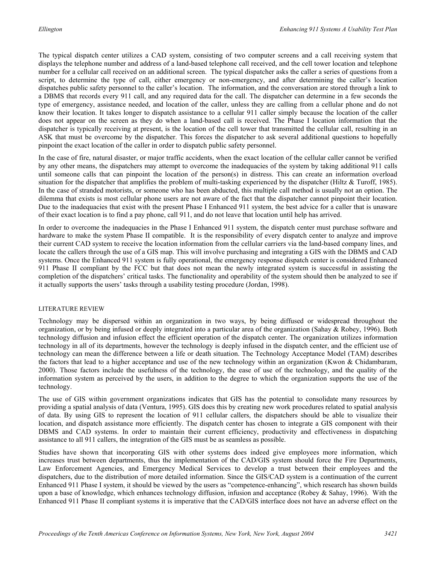The typical dispatch center utilizes a CAD system, consisting of two computer screens and a call receiving system that displays the telephone number and address of a land-based telephone call received, and the cell tower location and telephone number for a cellular call received on an additional screen. The typical dispatcher asks the caller a series of questions from a script, to determine the type of call, either emergency or non-emergency, and after determining the caller's location dispatches public safety personnel to the caller's location. The information, and the conversation are stored through a link to a DBMS that records every 911 call, and any required data for the call. The dispatcher can determine in a few seconds the type of emergency, assistance needed, and location of the caller, unless they are calling from a cellular phone and do not know their location. It takes longer to dispatch assistance to a cellular 911 caller simply because the location of the caller does not appear on the screen as they do when a land-based call is received. The Phase I location information that the dispatcher is typically receiving at present, is the location of the cell tower that transmitted the cellular call, resulting in an ASK that must be overcome by the dispatcher. This forces the dispatcher to ask several additional questions to hopefully pinpoint the exact location of the caller in order to dispatch public safety personnel.

In the case of fire, natural disaster, or major traffic accidents, when the exact location of the cellular caller cannot be verified by any other means, the dispatchers may attempt to overcome the inadequacies of the system by taking additional 911 calls until someone calls that can pinpoint the location of the person(s) in distress. This can create an information overload situation for the dispatcher that amplifies the problem of multi-tasking experienced by the dispatcher (Hiltz  $\&$  Turoff, 1985). In the case of stranded motorists, or someone who has been abducted, this multiple call method is usually not an option. The dilemma that exists is most cellular phone users are not aware of the fact that the dispatcher cannot pinpoint their location. Due to the inadequacies that exist with the present Phase I Enhanced 911 system, the best advice for a caller that is unaware of their exact location is to find a pay phone, call 911, and do not leave that location until help has arrived.

In order to overcome the inadequacies in the Phase I Enhanced 911 system, the dispatch center must purchase software and hardware to make the system Phase II compatible. It is the responsibility of every dispatch center to analyze and improve their current CAD system to receive the location information from the cellular carriers via the land-based company lines, and locate the callers through the use of a GIS map. This will involve purchasing and integrating a GIS with the DBMS and CAD systems. Once the Enhanced 911 system is fully operational, the emergency response dispatch center is considered Enhanced 911 Phase II compliant by the FCC but that does not mean the newly integrated system is successful in assisting the completion of the dispatchers' critical tasks. The functionality and operability of the system should then be analyzed to see if it actually supports the users' tasks through a usability testing procedure (Jordan, 1998).

#### LITERATURE REVIEW

Technology may be dispersed within an organization in two ways, by being diffused or widespread throughout the organization, or by being infused or deeply integrated into a particular area of the organization (Sahay & Robey, 1996). Both technology diffusion and infusion effect the efficient operation of the dispatch center. The organization utilizes information technology in all of its departments, however the technology is deeply infused in the dispatch center, and the efficient use of technology can mean the difference between a life or death situation. The Technology Acceptance Model (TAM) describes the factors that lead to a higher acceptance and use of the new technology within an organization (Kwon & Chidambaram, 2000). Those factors include the usefulness of the technology, the ease of use of the technology, and the quality of the information system as perceived by the users, in addition to the degree to which the organization supports the use of the technology.

The use of GIS within government organizations indicates that GIS has the potential to consolidate many resources by providing a spatial analysis of data (Ventura, 1995). GIS does this by creating new work procedures related to spatial analysis of data. By using GIS to represent the location of 911 cellular callers, the dispatchers should be able to visualize their location, and dispatch assistance more efficiently. The dispatch center has chosen to integrate a GIS component with their DBMS and CAD systems. In order to maintain their current efficiency, productivity and effectiveness in dispatching assistance to all 911 callers, the integration of the GIS must be as seamless as possible.

Studies have shown that incorporating GIS with other systems does indeed give employees more information, which increases trust between departments, thus the implementation of the CAD/GIS system should force the Fire Departments, Law Enforcement Agencies, and Emergency Medical Services to develop a trust between their employees and the dispatchers, due to the distribution of more detailed information. Since the GIS/CAD system is a continuation of the current Enhanced 911 Phase I system, it should be viewed by the users as "competence-enhancing", which research has shown builds upon a base of knowledge, which enhances technology diffusion, infusion and acceptance (Robey & Sahay, 1996). With the Enhanced 911 Phase II compliant systems it is imperative that the CAD/GIS interface does not have an adverse effect on the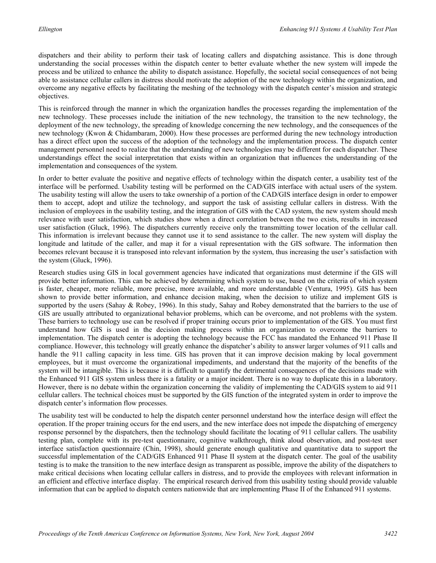dispatchers and their ability to perform their task of locating callers and dispatching assistance. This is done through understanding the social processes within the dispatch center to better evaluate whether the new system will impede the process and be utilized to enhance the ability to dispatch assistance. Hopefully, the societal social consequences of not being able to assistance cellular callers in distress should motivate the adoption of the new technology within the organization, and overcome any negative effects by facilitating the meshing of the technology with the dispatch center's mission and strategic objectives.

This is reinforced through the manner in which the organization handles the processes regarding the implementation of the new technology. These processes include the initiation of the new technology, the transition to the new technology, the deployment of the new technology, the spreading of knowledge concerning the new technology, and the consequences of the new technology (Kwon & Chidambaram, 2000). How these processes are performed during the new technology introduction has a direct effect upon the success of the adoption of the technology and the implementation process. The dispatch center management personnel need to realize that the understanding of new technologies may be different for each dispatcher. These understandings effect the social interpretation that exists within an organization that influences the understanding of the implementation and consequences of the system.

In order to better evaluate the positive and negative effects of technology within the dispatch center, a usability test of the interface will be performed. Usability testing will be performed on the CAD/GIS interface with actual users of the system. The usability testing will allow the users to take ownership of a portion of the CAD/GIS interface design in order to empower them to accept, adopt and utilize the technology, and support the task of assisting cellular callers in distress. With the inclusion of employees in the usability testing, and the integration of GIS with the CAD system, the new system should mesh relevance with user satisfaction, which studies show when a direct correlation between the two exists, results in increased user satisfaction (Gluck, 1996). The dispatchers currently receive only the transmitting tower location of the cellular call. This information is irrelevant because they cannot use it to send assistance to the caller. The new system will display the longitude and latitude of the caller, and map it for a visual representation with the GIS software. The information then becomes relevant because it is transposed into relevant information by the system, thus increasing the user's satisfaction with the system (Gluck, 1996).

Research studies using GIS in local government agencies have indicated that organizations must determine if the GIS will provide better information. This can be achieved by determining which system to use, based on the criteria of which system is faster, cheaper, more reliable, more precise, more available, and more understandable (Ventura, 1995). GIS has been shown to provide better information, and enhance decision making, when the decision to utilize and implement GIS is supported by the users (Sahay & Robey, 1996). In this study, Sahay and Robey demonstrated that the barriers to the use of GIS are usually attributed to organizational behavior problems, which can be overcome, and not problems with the system. These barriers to technology use can be resolved if proper training occurs prior to implementation of the GIS. You must first understand how GIS is used in the decision making process within an organization to overcome the barriers to implementation. The dispatch center is adopting the technology because the FCC has mandated the Enhanced 911 Phase II compliance. However, this technology will greatly enhance the dispatcher's ability to answer larger volumes of 911 calls and handle the 911 calling capacity in less time. GIS has proven that it can improve decision making by local government employees, but it must overcome the organizational impediments, and understand that the majority of the benefits of the system will be intangible. This is because it is difficult to quantify the detrimental consequences of the decisions made with the Enhanced 911 GIS system unless there is a fatality or a major incident. There is no way to duplicate this in a laboratory. However, there is no debate within the organization concerning the validity of implementing the CAD/GIS system to aid 911 cellular callers. The technical choices must be supported by the GIS function of the integrated system in order to improve the dispatch center's information flow processes.

The usability test will be conducted to help the dispatch center personnel understand how the interface design will effect the operation. If the proper training occurs for the end users, and the new interface does not impede the dispatching of emergency response personnel by the dispatchers, then the technology should facilitate the locating of 911 cellular callers. The usability testing plan, complete with its pre-test questionnaire, cognitive walkthrough, think aloud observation, and post-test user interface satisfaction questionnaire (Chin, 1998), should generate enough qualitative and quantitative data to support the successful implementation of the CAD/GIS Enhanced 911 Phase II system at the dispatch center. The goal of the usability testing is to make the transition to the new interface design as transparent as possible, improve the ability of the dispatchers to make critical decisions when locating cellular callers in distress, and to provide the employees with relevant information in an efficient and effective interface display. The empirical research derived from this usability testing should provide valuable information that can be applied to dispatch centers nationwide that are implementing Phase II of the Enhanced 911 systems.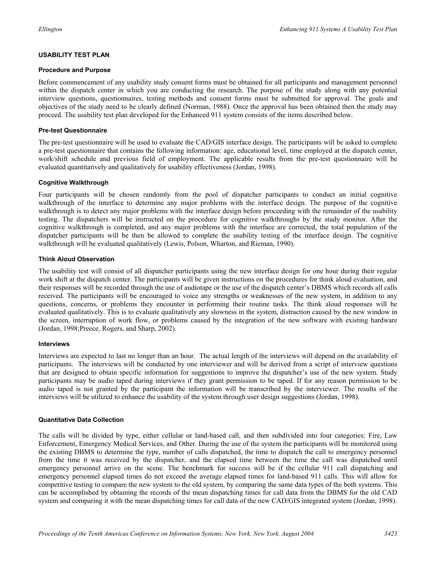#### **USABILITY TEST PLAN**

#### **Procedure and Purpose**

Before commencement of any usability study consent forms must be obtained for all participants and management personnel within the dispatch center in which you are conducting the research. The purpose of the study along with any potential interview questions, questionnaires, testing methods and consent forms must be submitted for approval. The goals and objectives of the study need to be clearly defined (Norman, 1988). Once the approval has been obtained then the study may proceed. The usability test plan developed for the Enhanced 911 system consists of the items described below.

#### **Pre-test Questionnaire**

The pre-test questionnaire will be used to evaluate the CAD/GIS interface design. The participants will be asked to complete a pre-test questionnaire that contains the following information: age, educational level, time employed at the dispatch center, work/shift schedule and previous field of employment. The applicable results from the pre-test questionnaire will be evaluated quantitatively and qualitatively for usability effectiveness (Jordan, 1998).

#### **Cognitive Walkthrough**

Four participants will be chosen randomly from the pool of dispatcher participants to conduct an initial cognitive walkthrough of the interface to determine any major problems with the interface design. The purpose of the cognitive walkthrough is to detect any major problems with the interface design before proceeding with the remainder of the usability testing. The dispatchers will be instructed on the procedure for cognitive walkthroughs by the study monitor. After the cognitive walkthrough is completed, and any major problems with the interface are corrected, the total population of the dispatcher participants will be then be allowed to complete the usability testing of the interface design. The cognitive walkthrough will be evaluated qualitatively (Lewis, Polson, Wharton, and Rieman, 1990).

#### **Think Aloud Observation**

The usability test will consist of all dispatcher participants using the new interface design for one hour during their regular work shift at the dispatch center. The participants will be given instructions on the procedures for think aloud evaluation, and their responses will be recorded through the use of audiotape or the use of the dispatch center's DBMS which records all calls received. The participants will be encouraged to voice any strengths or weaknesses of the new system, in addition to any questions, concerns, or problems they encounter in performing their routine tasks. The think aloud responses will be evaluated qualitatively. This is to evaluate qualitatively any slowness in the system, distraction caused by the new window in the screen, interruption of work flow, or problems caused by the integration of the new software with existing hardware (Jordan, 1998;Preece, Rogers, and Sharp, 2002).

#### **Interviews**

Interviews are expected to last no longer than an hour. The actual length of the interviews will depend on the availability of participants. The interviews will be conducted by one interviewer and will be derived from a script of interview questions that are designed to obtain specific information for suggestions to improve the dispatcher's use of the new system. Study participants may be audio taped during interviews if they grant permission to be taped. If for any reason permission to be audio taped is not granted by the participant the information will be transcribed by the interviewer. The results of the interviews will be utilized to enhance the usability of the system through user design suggestions (Jordan, 1998).

#### **Quantitative Data Collection**

The calls will be divided by type, either cellular or land-based call, and then subdivided into four categories: Fire, Law Enforcement, Emergency Medical Services, and Other. During the use of the system the participants will be monitored using the existing DBMS to determine the type, number of calls dispatched, the time to dispatch the call to emergency personnel from the time it was received by the dispatcher, and the elapsed time between the time the call was dispatched until emergency personnel arrive on the scene. The benchmark for success will be if the cellular 911 call dispatching and emergency personnel elapsed times do not exceed the average elapsed times for land-based 911 calls. This will allow for competitive testing to compare the new system to the old system, by comparing the same data types of the both systems. This can be accomplished by obtaining the records of the mean dispatching times for call data from the DBMS for the old CAD system and comparing it with the mean dispatching times for call data of the new CAD/GIS integrated system (Jordan, 1998).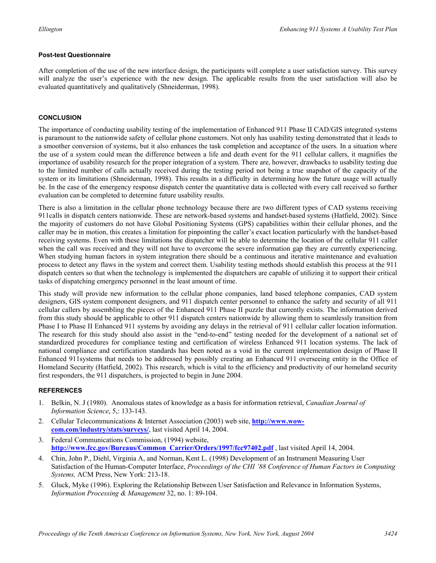#### **Post-test Questionnaire**

After completion of the use of the new interface design, the participants will complete a user satisfaction survey. This survey will analyze the user's experience with the new design. The applicable results from the user satisfaction will also be evaluated quantitatively and qualitatively (Shneiderman, 1998).

#### **CONCLUSION**

The importance of conducting usability testing of the implementation of Enhanced 911 Phase II CAD/GIS integrated systems is paramount to the nationwide safety of cellular phone customers. Not only has usability testing demonstrated that it leads to a smoother conversion of systems, but it also enhances the task completion and acceptance of the users. In a situation where the use of a system could mean the difference between a life and death event for the 911 cellular callers, it magnifies the importance of usability research for the proper integration of a system. There are, however, drawbacks to usability testing due to the limited number of calls actually received during the testing period not being a true snapshot of the capacity of the system or its limitations (Shneiderman, 1998). This results in a difficulty in determining how the future usage will actually be. In the case of the emergency response dispatch center the quantitative data is collected with every call received so further evaluation can be completed to determine future usability results.

There is also a limitation in the cellular phone technology because there are two different types of CAD systems receiving 911calls in dispatch centers nationwide. These are network-based systems and handset-based systems (Hatfield, 2002). Since the majority of customers do not have Global Positioning Systems (GPS) capabilities within their cellular phones, and the caller may be in motion, this creates a limitation for pinpointing the caller's exact location particularly with the handset-based receiving systems. Even with these limitations the dispatcher will be able to determine the location of the cellular 911 caller when the call was received and they will not have to overcome the severe information gap they are currently experiencing. When studying human factors in system integration there should be a continuous and iterative maintenance and evaluation process to detect any flaws in the system and correct them. Usability testing methods should establish this process at the 911 dispatch centers so that when the technology is implemented the dispatchers are capable of utilizing it to support their critical tasks of dispatching emergency personnel in the least amount of time.

This study will provide new information to the cellular phone companies, land based telephone companies, CAD system designers, GIS system component designers, and 911 dispatch center personnel to enhance the safety and security of all 911 cellular callers by assembling the pieces of the Enhanced 911 Phase II puzzle that currently exists. The information derived from this study should be applicable to other 911 dispatch centers nationwide by allowing them to seamlessly transition from Phase I to Phase II Enhanced 911 systems by avoiding any delays in the retrieval of 911 cellular caller location information. The research for this study should also assist in the "end-to-end" testing needed for the development of a national set of standardized procedures for compliance testing and certification of wireless Enhanced 911 location systems. The lack of national compliance and certification standards has been noted as a void in the current implementation design of Phase II Enhanced 911systems that needs to be addressed by possibly creating an Enhanced 911 overseeing entity in the Office of Homeland Security (Hatfield, 2002). This research, which is vital to the efficiency and productivity of our homeland security first responders, the 911 dispatchers, is projected to begin in June 2004.

#### **REFERENCES**

- 1. Belkin, N. J (1980). Anomalous states of knowledge as a basis for information retrieval, *Canadian Journal of Information Science*, 5,: 133-143.
- 2. Cellular Telecommunications & Internet Association (2003) web site, **http://www.wowcom.com/industry/stats/surveys/**, last visited April 14, 2004.
- 3. Federal Communications Commission, (1994) website, **http://www.fcc.gov/Bureaus/Common\_Carrier/Orders/1997/fcc97402.pdf** , last visited April 14, 2004.
- 4. Chin, John P., Diehl, Virginia A, and Norman, Kent L. (1998) Development of an Instrument Measuring User Satisfaction of the Human-Computer Interface, *Proceedings of the CHI '88 Conference of Human Factors in Computing Systems,* ACM Press, New York: 213-18.
- 5. Gluck, Myke (1996). Exploring the Relationship Between User Satisfaction and Relevance in Information Systems, *Information Processing & Management* 32, no. 1: 89-104.